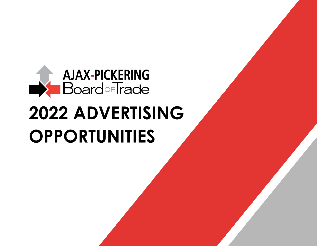

# **2022 ADVERTISING OPPORTUNITIES**

*For more information about APBOT advertising opportunities, contact [bulletin@apboardoftrade.com](mailto:bulletin@apboardoftrade.com)*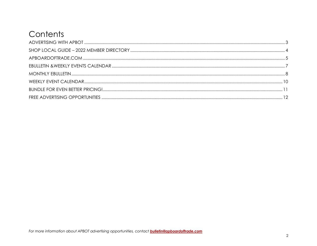# Contents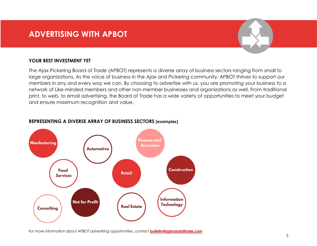# <span id="page-2-0"></span>**ADVERTISING WITH APBOT**

### **YOUR BEST INVESTMENT YET**

The Ajax-Pickering Board of Trade (APBOT) represents a diverse array of business sectors ranging from small to large organizations. As the voice of business in the Ajax and Pickering community, APBOT thrives to support our members in any and every way we can. By choosing to advertise with us, you are promoting your business to a network of Like-minded members and other non-member businesses and organizations as well. From traditional print, to web, to email advertising, the Board of Trade has a wide variety of opportunities to meet your budget and ensure maximum recognition and value.



### **REPRESENTING A DIVERSE ARRAY OF BUSINESS SECTORS (***examples***)**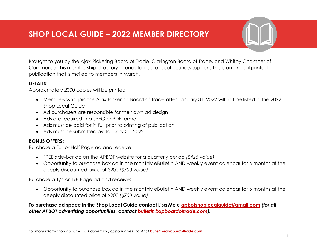<span id="page-3-0"></span>Brought to you by the Ajax-Pickering Board of Trade, Clarington Board of Trade, and Whitby Chamber of Commerce, this membership directory intends to inspire local business support. This is an annual printed publication that is mailed to members in March.

### **DETAILS:**

Approximately 2000 copies will be printed

- Members who join the Ajax-Pickering Board of Trade after January 31, 2022 will not be listed in the 2022 Shop Local Guide
- Ad purchasers are responsible for their own ad design
- Ads are required in a JPEG or PDF format
- Ads must be paid for in full prior to printing of publication
- Ads must be submitted by January 31, 2022

## **BONUS OFFERS:**

Purchase a Full or Half Page ad and receive:

- FREE side-bar ad on the APBOT website for a quarterly period *(\$425 value)*
- Opportunity to purchase box ad in the monthly eBulletin AND weekly event calendar for 6 months at the deeply discounted price of \$200 *(\$700 value)*

Purchase a 1/4 or 1/8 Page ad and receive:

• Opportunity to purchase box ad in the monthly eBulletin AND weekly event calendar for 6 months at the deeply discounted price of \$200 *(\$700 value)*

**To purchase ad space in the Shop Local Guide contact Lisa Mele [apbotshoplocalguide@gmail.com](mailto:apbotshoplocalguide@gmail.com)** *(for all other APBOT advertising opportunities, contact [bulletin@apboardoftrade.com\)](mailto:bulletin@apboardoftrade.com).*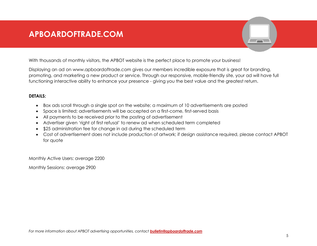# <span id="page-4-0"></span>**APBOARDOFTRADE.COM**

With thousands of monthly visitors, the APBOT website is the perfect place to promote your business!

Displaying an ad on www.apboardoftrade.com gives our members incredible exposure that is great for branding, promoting, and marketing a new product or service. Through our responsive, mobile-friendly site, your ad will have full functioning interactive ability to enhance your presence - giving you the best value and the greatest return.

### **DETAILS:**

- Box ads scroll through a single spot on the website; a maximum of 10 advertisements are posted
- Space is limited; advertisements will be accepted on a first-come, first-served basis
- All payments to be received prior to the posting of advertisement
- Advertiser given 'right of first refusal' to renew ad when scheduled term completed
- \$25 administration fee for change in ad during the scheduled term
- Cost of advertisement does not include production of artwork; if design assistance required, please contact APBOT for quote

Monthly Active Users: average 2200

Monthly Sessions: average 2900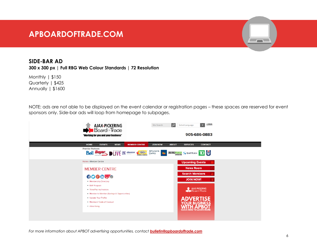# **APBOARDOFTRADE.COM**

# **SIDE-BAR AD**

**300 x 300 px | Full RBG Web Colour Standards | 72 Resolution**

Monthly | \$150 Quarterly | \$425 Annually | \$1600

NOTE: ads are not able to be displayed on the event calendar or registration pages – these spaces are reserved for event sponsors only. Side-bar ads will loop from homepage to subpages.



*For more information about APBOT advertising opportunities, contact [bulletin@apboardoftrade.com](mailto:bulletin@apboardoftrade.com)*

 $\overline{\phantom{a}}$  and  $\overline{\phantom{a}}$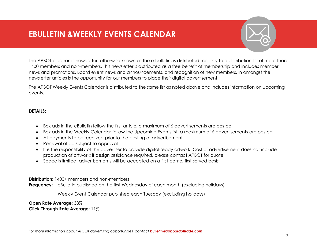# <span id="page-6-0"></span>**EBULLETIN &WEEKLY EVENTS CALENDAR**

The APBOT electronic newsletter, otherwise known as the e-bulletin, is distributed monthly to a distribution list of more than 1400 members and non-members. This newsletter is distributed as a free benefit of membership and includes member news and promotions, Board event news and announcements, and recognition of new members. In amongst the newsletter articles is the opportunity for our members to place their digital advertisement.

The APBOT Weekly Events Calendar is distributed to the same list as noted above and includes information on upcoming events.

### **DETAILS:**

- Box ads in the eBulletin follow the first article; a maximum of 6 advertisements are posted
- Box ads in the Weekly Calendar follow the Upcoming Events list; a maximum of 6 advertisements are posted
- All payments to be received prior to the posting of advertisement
- Renewal of ad subject to approval
- It is the responsibility of the advertiser to provide digital-ready artwork. Cost of advertisement does not include production of artwork; if design assistance required, please contact APBOT for quote
- Space is limited; advertisements will be accepted on a first-come, first-served basis

**Distribution:** 1400+ members and non-members

**Frequency:** eBulletin published on the first Wednesday of each month (excluding holidays)

Weekly Event Calendar published each Tuesday (excluding holidays)

**Open Rate Average:** 38% **Click Through Rate Average:** 11%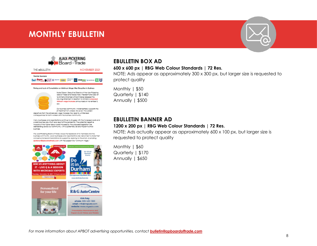# <span id="page-7-0"></span>**MONTHLY EBULLETIN**





#### Timing and Lack of Consultation on Minimum Wope Hiles Disruptive to Business



Icole Gibson, Executive Director of the Ajox/Pickering gard of Trade and Rogge Spati, President and CRO of te Ontario Chamber of Commerce released the sloving statement in reaction to Ontario's proposed tinimum wage increase announced on November 2, note:

Dur butiness community whoisheartedly supports the<br>Lair tradition of at workers. However, this sudden

departure from the scheduled wage increase may lead to unintended consequences for both workers and the business community.

Many businesses and organizations continue to struggle with the increased casts and<br>overall business downfurn as a result of the pandemic. The potential negative Impacts of the higher isbour costs imposed by the proposed legislation are destabiliting acress our community, with a patentially severe impact to small lough ass.

The Albert beams soons of frose velues the feedbook of its mombers and the business community. Local businesses and organizations are welcomed to share their concerts and recommendations for support by replying to this error, or a mating spaterson@ppboardoffreds.com with the subject line "Whitnum Hibps."



### **EBULLETIN BOX AD**

### **600 x 600 px | RBG Web Colour Standards | 72 Res.**

NOTE: Ads appear as approximately 300 x 300 px, but larger size is requested to protect quality

Monthly | \$50 Quarterly | \$140 Annually | \$500

### **EBULLETIN BANNER AD**

#### **1200 x 200 px | RBG Web Colour Standards | 72 Res.**

NOTE: Ads actually appear as approximately 600 x 100 px, but larger size is requested to protect quality

Monthly | \$60 Quarterly | \$170 Annually | \$650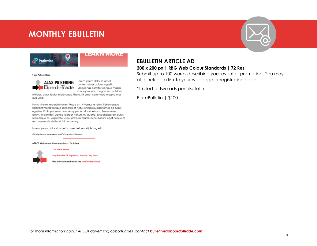# **MONTHLY EBULLETIN**





Your Article Here



.orem ipsum dolor sit amet, consectetuer adipiscing elit. Maecenas porttitor conaue massa. rusce posuere, magna sed pulvinar

ultricies, purus lectus malesuada libero, sit amet commodo magna eros quis uma.

Nunc viverra imperdiet enim. Fusce est. Vivamus a tellus. Pellentesque habitant morbi tristique senectus et netus et malesuada fames ac turpis egestas. Proin pharetra nonummy pede. Mauris et orci. Aenean nec lorem. In porttitor. Donec lacreet nonummy augue. Suspendisse dui purus. scelerisque at, vulputate vitae, pretium mattis, nunc. Mauris eget neque at sem venenatis eleifend. Ut nonummy.

Lorem ipsum clolor sit amet, consectetuer adipiscing elit.

This advertisement was shared on behalf of a member of the APBOT.

Call Time Rental

APBOT Welcomes New Members - October



Dog Paddle K9 Aquatics/ Indoor Dog Pool

find all our members in the online directory!

# **EBULLETIN ARTICLE AD**

### **200 x 200 px | RBG Web Colour Standards | 72 Res.**

Submit up to 100 words describing your event or promotion. You may also include a link to your webpage or registration page.

\*limited to two ads per eBulletin

Per eBulletin | \$100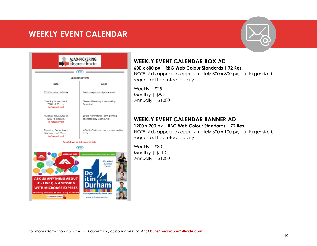# <span id="page-9-0"></span>**WEEKLY EVENT CALENDAR**





Thursday | November 18, 2021 | 1:15 p.m. eastern

# **WEEKLY EVENT CALENDAR BOX AD**

## **600 x 600 px | RBG Web Colour Standards | 72 Res.**

NOTE: Ads appear as approximately 300 x 300 px, but larger size is requested to protect quality

Weekly | \$25 Monthly | \$95 Annually | \$1000

# **WEEKLY EVENT CALENDAR BANNER AD 1200 x 200 px | RBG Web Colour Standards | 72 Res.**

NOTE: Ads appear as approximately 600 x 100 px, but larger size is requested to protect quality

Weekly | \$30 Monthly | \$110 Annually | \$1200

**Entrepreneurship Week 2021** www.doitindurham.biz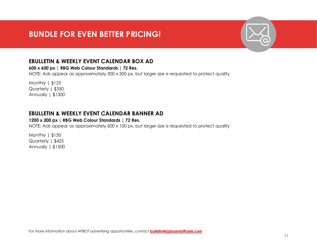# <span id="page-10-0"></span>**BUNDLE FOR EVEN BETTER PRICING!**

# **EBULLETIN & WEEKLY EVENT CALENDAR BOX AD**

**600 x 600 px | RBG Web Colour Standards | 72 Res.**

NOTE: Ads appear as approximately 300 x 300 px, but larger size is requested to protect quality

Monthly | \$125 Quarterly | \$350 Annually | \$1300

# **EBULLETIN & WEEKLY EVENT CALENDAR BANNER AD**

### **1200 x 200 px | RBG Web Colour Standards | 72 Res.**

NOTE: Ads appear as approximately 600 x 100 px, but larger size is requested to protect quality

Monthly | \$150 Quarterly | \$425 Annually | \$1500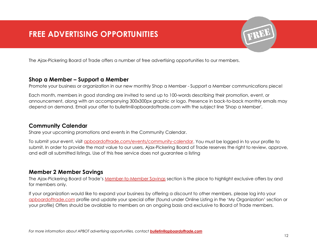# <span id="page-11-0"></span>**FREE ADVERTISING OPPORTUNITIES**

The Ajax-Pickering Board of Trade offers a number of free advertising opportunities to our members.

### **Shop a Member – Support a Member**

Promote your business or organization in our new monthly Shop a Member - Support a Member communications piece!

Each month, members in good standing are invited to send up to 100-words describing their promotion, event, or announcement, along with an accompanying 300x300px graphic or logo. Presence in back-to-back monthly emails may depend on demand. Email your offer to bulletin@apboardoftrade.com with the subject line 'Shop a Member'.

# **Community Calendar**

Share your upcoming promotions and events in the Community Calendar.

To submit your event, visit [apboardoftrade.com/events/community-calendar.](https://apboardoftrade.com/events/community-calendar/) You must be logged in to your profile to submit. In order to provide the most value to our users, Ajax-Pickering Board of Trade reserves the right to review, approve, and edit all submitted listings. Use of this free service does not guarantee a listing

# **Member 2 Member Savings**

The Ajax-Pickering Board of Trade's [Member-to-Member Savings](https://apboardoftrade.com/member-centre/member-member-savings-opportunities/) section is the place to highlight exclusive offers by and for members only.

If your organization would like to expand your business by offering a discount to other members, please log into your [apboardoftrade.com](https://apboardoftrade.com/member-centre/member-login/) profile and update your special offer (found under Online Listing in the 'My Organization' section or your profile) Offers should be available to members on an ongoing basis and exclusive to Board of Trade members.